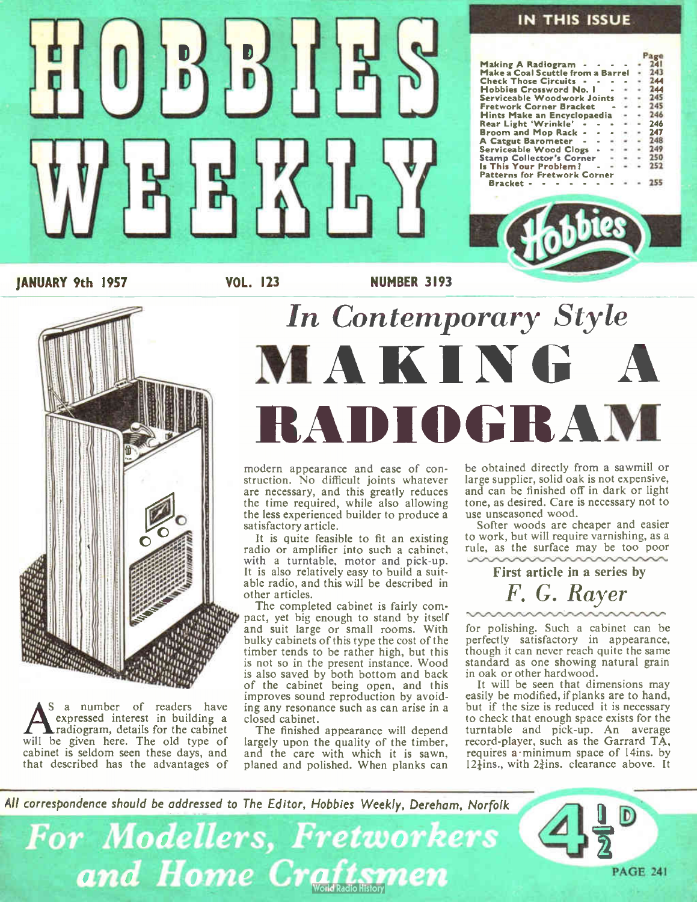

JANUARY 9th 1957 VOL. 123 NUMBER 3193



**A** S a number of readers have<br>expressed interest in building a<br>will be given here. The old type of S a number of readers have expressed interest in building a radiogram, details for the cabinet cabinet is seldom seen these days, and that described has the advantages of

# In Contemporary Style MAKING RADIOGRAM

modern appearance and ease of construction. No difficult joints whatever are necessary, and this greatly reduces the time required, while also allowing the less experienced builder to produce a satisfactory article.

It is quite feasible to fit an existing radio or amplifier into such a cabinet, with a turntable, motor and pick-up. It is also relatively easy to build a suit-able radio, and this will be described in other articles.

The completed cabinet is fairly compact, yet big enough to stand by itself and suit large or small rooms. With bulky cabinets of this type the cost of the timber tends to be rather high, but this is not so in the present instance. Wood is also saved by both bottom and back of the cabinet being open, and this improves sound reproduction by avoiding any resonance such as can arise in a closed cabinet.

The finished appearance will depend largely upon the quality of the timber, and the care with which it is sawn, planed and polished. When planks can

be obtained directly from a sawmill or large supplier, solid oak is not expensive, and can be finished off in dark or light tone, as desired. Care is necessary not to use unseasoned wood.

Softer woods are cheaper and easier to work, but will require varnishing, as a rule, as the surface may be too poor

First article in a series by F. G. Rayer

for polishing. Such a cabinet can be perfectly satisfactory in appearance, though it can never reach quite the same standard as one showing natural grain in oak or other hardwood.

It will be seen that dimensions may easily be modified, if planks are to hand, but if the size is reduced it is necessary to check that enough space exists for the turntable and pick-up. An average record-player, such as the Garrard TA, requires a minimum space of 14ins. by  $12\frac{1}{2}$ ins., with  $2\frac{3}{2}$ ins. clearance above. It

All correspondence should be addressed to The Editor, Hobbies Weekly, Dereham, Norfolk

**For Modellers, Fretworkers** and Home Craftsmen

PAGE 241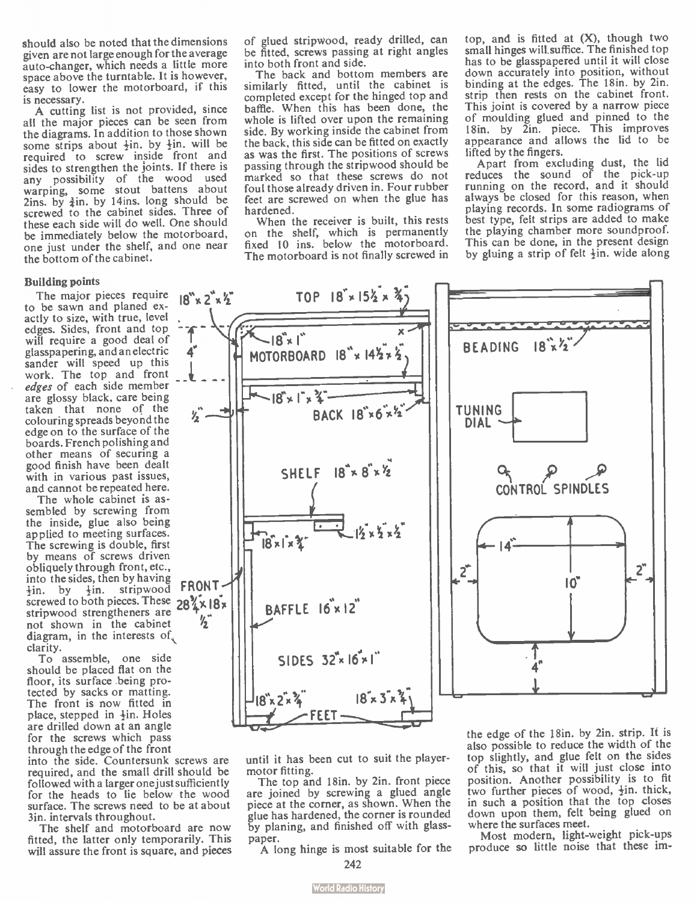should also be noted that the dimensions given are not large enough for the average auto-changer, which needs a little more space above the turntable. It is however, easy to lower the motorboard, if this is necessary.

A cutting list is not provided, since all the major pieces can be seen from the diagrams. In addition to those shown some strips about  $\frac{1}{2}$ in, by  $\frac{1}{2}$ in, will be required to screw inside front and sides to strengthen the joints. If there is any possibility of the wood used warping, some stout battens about  $2ins.$  by  $\frac{3}{2}$ in. by 14ins. long should be screwed to the cabinet sides. Three of these each side will do well. One should be immediately below the motorboard, one just under the shelf, and one near the bottom of the cabinet.

### Building points

The major pieces require to be sawn and planed exactly to size, with true, level edges. Sides, front and top will require a good deal of glasspapering, and an electric sander will speed up this work. The top and front edges of each side member are glossy black, care being taken that none of the colouring spreads beyond the edge on to the surface of the boards. French polishing and other means of securing a good finish have been dealt with in various past issues, and cannot be repeated here.

The whole cabinet is assembled by screwing from the inside, glue also being applied to meeting surfaces. The screwing is double, first by means of screws driven obliquely through front, etc., into the sides, then by having<br> $\frac{1}{2}$  from the strip wood **FRONT**.  $\frac{1}{2}$ in. stripwood screwed to both pieces. These  $28<sup>2</sup> \times 18<sup>2</sup>$ stripwood strengtheners are not shown in the cabinet diagram, in the interests of, clarity.

To assemble, one side should be placed fiat on the floor, its surface being protected by sacks or matting. The front is now fitted in place, stepped in  $\frac{1}{2}$ in. Holes are drilled down at an angle for the screws which pass through the edge of the front

into the side. Countersunk screws are required, and the small drill should be followed with a larger one just sufficiently for the heads to lie below the wood surface. The screws need to be at about 3in. intervals throughout.

The shelf and motorboard are now fitted, the latter only temporarily. This will assure the front is square, and pieces of glued stripwood, ready drilled, can be fitted, screws passing at right angles into both front and side.

The back and bottom members are similarly fitted, until the cabinet is completed except for the hinged top and baffle. When this has been done, the whole is lifted over upon the remaining side. By working inside the cabinet from the back, this side can be fitted on exactly as was the first. The positions of screws passing through the stripwood should be marked so that these screws do not foul those already driven in. Four rubber feet are screwed on when the glue has hardened.

When the receiver is built, this rests on the shelf, which is permanently fixed 10 ins, below the motorboard. The motorboard is not finally screwed in top, and is fitted at (X), though two small hinges will suffice. The finished top has to be glasspapered until it will close down accurately into position, without binding at the edges. The 18in. by 2in. strip then rests on the cabinet front. This joint is covered by a narrow piece of moulding glued and pinned to the 18in. by 2in. piece. This improves appearance and allows the lid to be<br>lifted by the fingers.

ifted by the fingers.<br>Apart from excluding dust, the lid reduces the sound of the pick-up running on the record, and it should always be closed for this reason, when playing records. In some radiograms of best type, felt strips are added to make the playing chamber more soundproof. This can be done, in the present design by gluing a strip of felt  $\frac{1}{2}$ in, wide along



until it has been cut to suit the playermotor fitting.

The top and 18in. by 2in. front piece are joined by screwing a glued angle piece at the corner, as shown. When the glue has hardened, the corner is rounded by planing, and finished off with glasspaper.

A long hinge is most suitable for the

of this, so that it will just close into position. Another possibility is to fit two further pieces of wood,  $\frac{1}{2}$ in. thick, in such a position that the top closes down upon them, felt being glued on where the surfaces meet. Most modern, light-weight pick-ups

top slightly, and glue felt on the sides

produce so little noise that these im-

<sup>242</sup>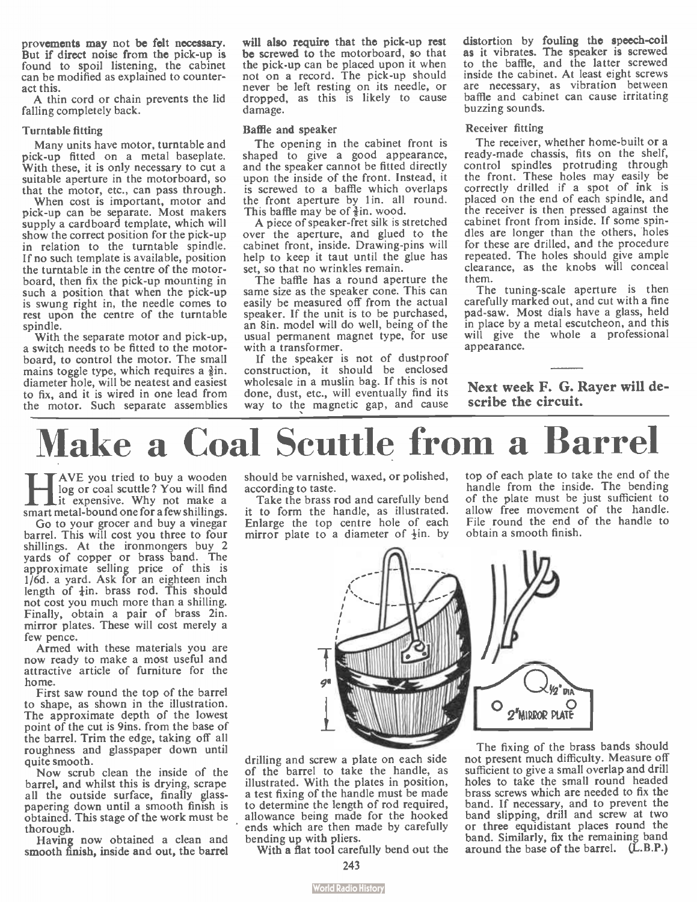provements may not be felt necessary. But if direct noise from the pick-up is found to spoil listening, the cabinet can be modified as explained to counteract this.

A thin cord or chain prevents the lid falling completely back.

### Turntable fitting

Many units have motor, turntable and pick-up fitted on a metal baseplate. With these, it is only necessary to cut a suitable aperture in the motorboard, so that the motor, etc., can pass through.

When cost is important, motor and pick-up can be separate. Most makers supply a cardboard template, which will show the correct position for the pick-up in relation to the turntable spindle. If no such template is available, position the turntable in the centre of the motorboard, then fix the pick-up mounting in such a position that when the pick-up is swung right in, the needle comes to rest upon the centre of the turntable spindle.

With the separate motor and pick-up, a switch needs to be fitted to the motorboard, to control the motor. The small mains toggle type, which requires a  $\frac{3}{2}$ in. diameter hole, will be neatest and easiest to fix, and it is wired in one lead from the motor. Such separate assemblies

will also require that the pick-up rest be screwed to the motorboard, so that the pick-up can be placed upon it when not on a record. The pick-up should never be left resting on its needle, or dropped, as this is likely to cause damage.

#### Baffle and speaker

The opening in the cabinet front is shaped to give a good appearance, and the speaker cannot be fitted directly upon the inside of the front. Instead, it is screwed to a baffle which overlaps the front aperture by 1in. all round. This baffle may be of  $\frac{3}{2}$ in. wood.

A piece of speaker-fret silk is stretched over the aperture, and glued to the cabinet front, inside. Drawing-pins will help to keep it taut until the glue has set, so that no wrinkles remain.

The baffle has a round aperture the same size as the speaker cone. This can easily be measured off from the actual speaker. If the unit is to be purchased, an 8in. model will do well, being of the usual permanent magnet type, for use with a transformer.

If the speaker is not of dustproof construction, it should be enclosed wholesale in a muslin bag. If this is not done, dust, etc., will eventually find its way to the magnetic gap, and cause distortion by fouling the speech-coil as it vibrates. The speaker is screwed to the baffle, and the latter screwed inside the cabinet. At least eight screws are necessary, as vibration between baffle and cabinet can cause irritating buzzing sounds.

### Receiver fitting

The receiver, whether home-built or a ready-made chassis, fits on the shelf, control spindles protruding through the front. These holes may easily be correctly drilled if a spot of ink is placed on the end of each spindle, and the receiver is then pressed against the cabinet front from inside. If some spindles are longer than the others, holes for these are drilled, and the procedure repeated. The holes should give ample clearance, as the knobs will conceal them.

The tuning-scale aperture is then carefully marked out, and cut with a fine pad- saw. Most dials have a glass, held in place by a metal escutcheon, and this will give the whole a professional appearance.

Next week F. G. Rayer will describe the circuit.

# Make a Coal Scuttle from a Barrel

**HE** AVE you tried to buy a wooden<br>it expensive. Why not make a<br>smart metal-bound one for a few shillings. **TAVE** you tried to buy a wooden log or coal scuttle? You will find I it expensive. Why not make a

Go to your grocer and buy a vinegar barrel. This will cost you three to four shillings. At the ironmongers buy 2 yards of copper or brass band. The approximate selling price of this is 1/6d. a yard. Ask for an eighteen inch<br>length of  $\frac{1}{4}$ in. brass rod. This should not cost you much more than a shilling. Finally, obtain a pair of brass 2in. mirror plates. These will cost merely a few pence.

Armed with these materials you are now ready to make a most useful and attractive article of furniture for the home.

First saw round the top of the barrel to shape, as shown in the illustration. The approximate depth of the lowest point of the cut is 9ins. from the base of the barrel. Trim the edge, taking off all roughness and glasspaper down until quite smooth.

Now scrub clean the inside of the barrel, and whilst this is drying, scrape all the outside surface, finally glasspapering down until a smooth finish is obtained. This stage of the work must be thorough.

Having now obtained a clean and smooth finish, inside and out, the barrel should be varnished, waxed, or polished, according to taste.

Take the brass rod and carefully bend it to form the handle, as illustrated. Enlarge the top centre hole of each mirror plate to a diameter of  $\frac{1}{2}$ in. by top of each plate to take the end of the handle from the inside. The bending of the plate must be just sufficient to allow free movement of the handle. File round the end of the handle to obtain a smooth finish.



drilling and screw a plate on each side of the barrel to take the handle, as illustrated. With the plates in position, a test fixing of the handle must be made to determine the length of rod required, allowance being made for the hooked ends which are then made by carefully bending up with pliers.

With a flat tool carefully bend out the

The fixing of the brass bands should not present much difficulty. Measure off sufficient to give a small overlap and drill holes to take the small round headed brass screws which are needed to fix the band. If necessary, and to prevent the band slipping, drill and screw at two or three equidistant places round the band. Similarly, fix the remaining band around the base of the barrel. (L.B.P.)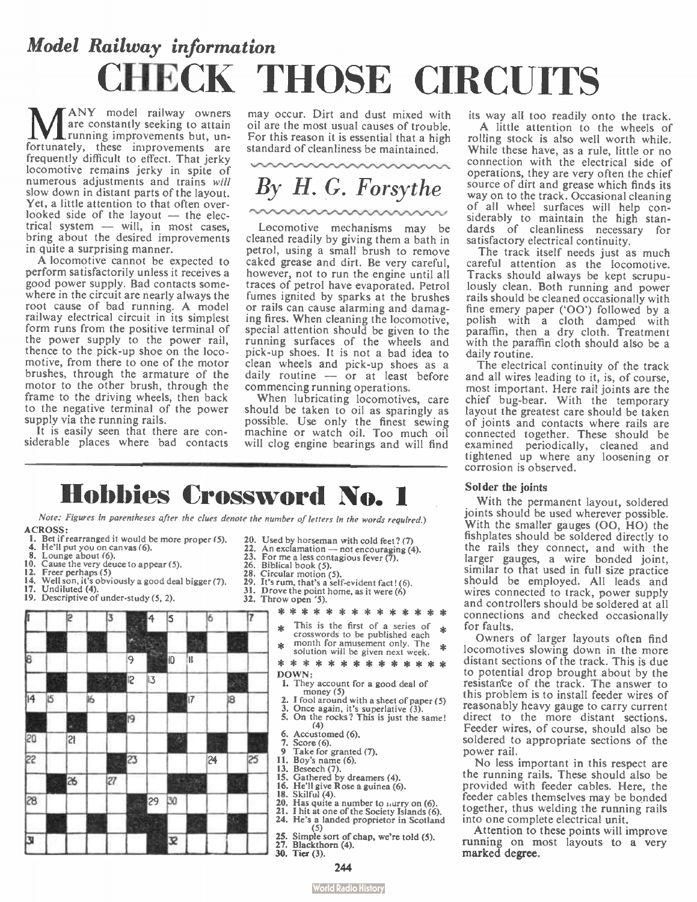# Model Railway information CHECK THOSE CIRCUITS

**MANY** model railway owners<br>running improvements but, un-<br>fortunately, these improvements are ANY model railway owners are constantly seeking to attain running improvements but, unfrequently difficult to effect. That jerky locomotive remains jerky in spite of numerous adjustments and trains will slow down in distant parts of the layout. Yet, a little attention to that often overlooked side of the layout  $-$  the elec $trical system$   $-$  will, in most cases. bring about the desired improvements in quite a surprising manner.

A locomotive cannot be expected to perform satisfactorily unless it receives a good power supply. Bad contacts somewhere in the circuit are nearly always the root cause of bad running. A model railway electrical circuit in its simplest form runs from the positive terminal of the power supply to the power rail, thence to the pick-up shoe on the locomotive, from there to one of the motor brushes, through the armature of the motor to the other brush, through the frame to the driving wheels, then back to the negative terminal of the power supply via the running rails.

It is easily seen that there are considerable places where bad contacts

may occur. Dirt and dust mixed with oil are the most usual causes of trouble. For this reason it is essential that a high standard of cleanliness be maintained.

By H. G. Forsythe

Locomotive mechanisms may be cleaned readily by giving them a bath in petrol, using a small brush to remove caked grease and dirt. Be very careful, however, not to run the engine until all traces of petrol have evaporated. Petrol fumes ignited by sparks at the brushes or rails can cause alarming and damaging fires. When cleaning the locomotive, special attention should be given to the running surfaces of the wheels and pick-up shoes. It is not a bad idea to clean wheels and pick-up shoes as a daily routine  $-$  or at least before commencing running operations.

When lubricating locomotives, care should be taken to oil as sparingly as possible. Use only the finest sewing machine or watch oil. Too much oil will clog engine bearings and will find

### Hobbies Crossword No. 1

Note: Figures in parentheses after the clues denote the number of letters in the words required.) ACROSS:

- 1. Bet if rearranged it would be more proper (5).
- 4. He'll put you on canvas (6).
- 
- 8. Lounge about (6). 10. Cause the very deuce to appear (5).
- 12. Freer perhaps (5)
- 14. Well son, it's obviously a good deal bigger (7). 17. Undiluted (4).
- 
- 19. Descriptive of under study (5, 2).

### $\begin{array}{r} \begin{array}{r} 2 \\ 3 \end{array} \\ \begin{array}{r} \end{array} \\ \begin{array}{r} \end{array} \\ \begin{array}{r} \end{array} \\ \begin{array}{r} \end{array} \\ \begin{array}{r} \end{array} \\ \begin{array}{r} \end{array} \\ \begin{array}{r} \end{array} \\ \begin{array}{r} \end{array} \\ \begin{array}{r} \end{array} \\ \begin{array}{r} \end{array} \\ \begin{array}{r} \end{array} \end{array}$ 113 | P 9 4 5  $10$  II  $\rightarrow$  $\begin{array}{c|c|c|c|c} \hline \circ & 7 & \ast \end{array}$ 12 13 14 15 **16 16 17**  $17$   $18$ 9 | | | | | | | | | | | <sup>5.</sup><br>|-20 21 ill 23 24 25 **1 26 1**  $\frac{13}{16}$ ,  $\frac{13}{16}$ ,  $\frac{13}{16}$ 28 29  $30$ Ill Ill il <u>il III al III</u>B <sup>32</sup> il 10 il 10 i

- 20. Used by horseman with cold feet? (7) 22. An exclamation not encouraging  $\ell$
- 22. An exclamation not encouraging (4).<br>23. For me a less contagious fever (7).
- 26. Biblical book (5).
- 28. Circular motion (5).
- 
- 29. It's rum, that's a self-evident fact! (6).<br>31. Drove the point home, as it were (6) Drove the point home, as it were  $(6)$
- 32. Throw open '5).

### \* \* \* \* \* \* \* \* \* \* \* \* \* \*

- This is the first of a series of crosswords to be published each
- $\triangle$  month for amusement only. The solution will be given next week.
- \* \* \* \* \* \* \* \* \* \* \* \* \* \*
- DOWN:
	- 1. They account for a good deal of money  $(5)$
	- money (5) 2. I fool around with a sheet of paper ( 5)
	- 3. Once again, it's superlative ( 3). 5. On the rocks? This is just the same!
	- $(4)$
	- 6. Accustomed (6).
	- $7.$  Score  $(6)$ .
- 9 Take for granted (7).<br>11. Boy's name (6). Boy's name (6).
- 
- 
- 13. Beseech (7). 15. Gathered by dreamers (4). 16. He'll give Rose a guinea (6).
- 18. Skilful (4).
- 20. Has quite a number to murry on (6).
- 21. I hit at one of the Society Islands (6). 24. He's a landed proprietor in Scotland
- 25. Simple sort of chap, we're told  $(5)$ .
- 27. Blackthorn (4).
- 30. Tier (3).

its way all too readily onto the track. A little attention to the wheels of rolling stock is also well worth while. While these have, as a rule, little or no connection with the electrical side of operations, they are very often the chief source of dirt and grease which finds its way on to the track. Occasional cleaning of all wheel surfaces will help considerably to maintain the high standards of cleanliness necessary for satisfactory electrical continuity.

The track itself needs just as much careful attention as the locomotive. Tracks should always be kept scrupulously clean. Both running and power rails should be cleaned occasionally with fine emery paper  $(00')$  followed by a polish with a cloth damped with paraffin, then a dry cloth. Treatment with the paraffin cloth should also be a daily routine.

The electrical continuity of the track and all wires leading to it, is, of course, most important. Here rail joints are the chief bug-bear. With the temporary layout the greatest care should be taken of joints and contacts where rails are connected together. These should be examined periodically, cleaned and tightened up where any loosening or corrosion is observed.

### Solder the joints

With the permanent layout, soldered joints should be used wherever possible. With the smaller gauges (OO, HO) the fishplates should be soldered directly to the rails they connect, and with the larger gauges, a wire bonded joint, similar to that used in full size practice should be employed. All leads and wires connected to track, power supply and controllers should be soldered at all connections and checked occasionally for faults.

Owners of larger layouts often find locomotives slowing down in the more distant sections of the track. This is due to potential drop brought about by the resistante of the track. The answer to this problem is to install feeder wires of reasonably heavy gauge to carry current direct to the more distant sections. Feeder wires, of course, should also be soldered to appropriate sections of the power rail.

No less important in this respect are the running rails. These should also be provided with feeder cables. Here, the feeder cables themselves may be bonded together, thus welding the running rails into one complete electrical unit.

Attention to these points will improve running on most layouts to a very marked degree.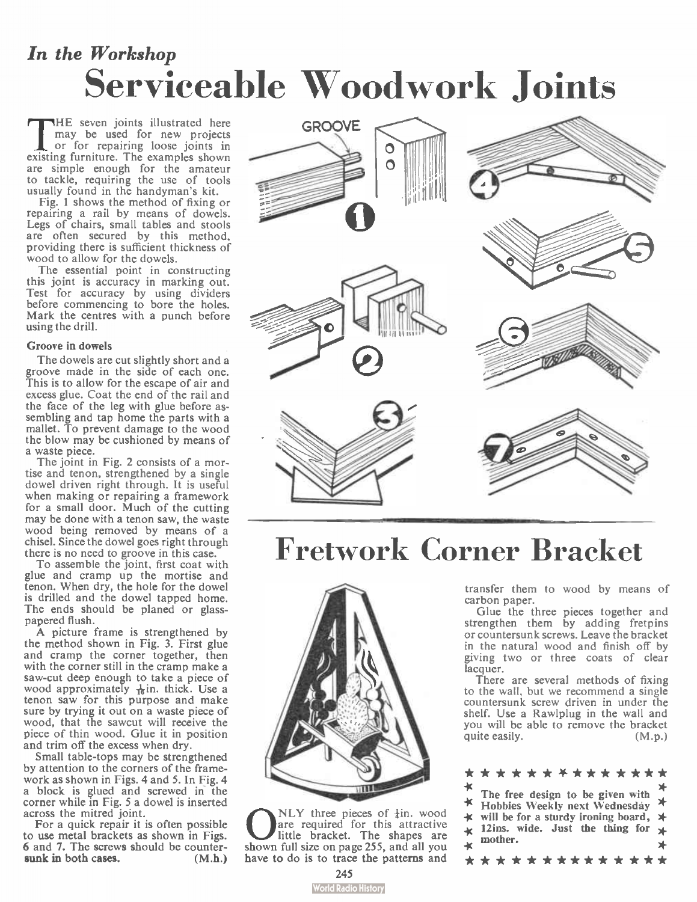## In the Workshop Serviceable Woodwork Joints

THE seven joints illustrated here<br>nay be used for new projects<br>or for repairing loose joints in<br>existing furniture. The examples shown HE seven joints illustrated here may be used for new projects or for repairing loose joints in are simple enough for the amateur to tackle, requiring the use of tools usually found in the handyman's kit.

Fig. 1 shows the method of fixing or repairing a rail by means of dowels. Legs of chairs, small tables and stools are often secured by this method, providing there is sufficient thickness of wood to allow for the dowels.

The essential point in constructing this joint is accuracy in marking out. Test for accuracy by using dividers before commencing to bore the holes. Mark the centres with a punch before using the drill.

### Groove in dowels

The dowels are cut slightly short and a groove made in the side of each one. This is to allow for the escape of air and excess glue. Coat the end of the rail and the face of the leg with glue before assembling and tap home the parts with a mallet. To prevent damage to the wood the blow may be cushioned by means of a waste piece.

The joint in Fig. 2 consists of a mortise and tenon, strengthened by a single dowel driven right through. It is useful when making or repairing a framework for a small door. Much of the cutting may be done with a tenon saw, the waste wood being removed by means of a chisel. Since the dowel goes right through there is no need to groove in this case.

To assemble the joint, first coat with glue and cramp up the mortise and tenon. When dry, the hole for the dowel is drilled and the dowel tapped home. The ends should be planed or glasspapered flush.

A picture frame is strengthened by the method shown in Fig. 3. First glue and cramp the corner together, then with the corner still in the cramp make a saw-cut deep enough to take a piece of wood approximately  $\frac{1}{16}$ in. thick. Use a tenon saw for this purpose and make sure by trying it out on a waste piece of wood, that the sawcut will receive the piece of thin wood. Glue it in position and trim off the excess when dry.

Small table-tops may be strengthened by attention to the corners of the framework as shown in Figs. 4 and 5. In Fig. 4 a block is glued and screwed in the corner while in Fig. 5 a dowel is inserted across the mitred joint.

For a quick repair it is often possible to use metal brackets as shown in Figs. 6 and 7. The screws should be countersunk in both cases. (M.h.)



# Fretwork Corner Bracket



**C** NLY three pieces of  $\frac{1}{4}$  in. wood<br>little bracket. The shapes are<br>shown full size on page 255, and all you NLY three pieces of  $\frac{1}{4}$ in, wood are required for this attractive little bracket. The shapes are have to do is to trace the patterns and

transfer them to wood by means of carbon paper.

Glue the three pieces together and strengthen them by adding fretpins or countersunk screws. Leave the bracket in the natural wood and finish off by giving two or three coats of clear lacquer.

There are several methods of fixing to the wall, but we recommend a single countersunk screw driven in under the shelf. Use a Rawlplug in the wall and you will be able to remove the bracket quite easily. (M.p.)

|    | * * * * * * * * * * * * * * *                                          |     |
|----|------------------------------------------------------------------------|-----|
| _* |                                                                        |     |
|    | The free design to be given with $\star$ Hobbies Weekly next Wednesday | $*$ |
|    | $\star$ will be for a sturdy ironing board, $\star$                    |     |
|    | $\star$ 12ins. wide. Just the thing for $\star$                        |     |
|    | $\star$ mother.                                                        | ∗   |
|    | * * * * * * * * * * * * * *                                            |     |

### **World Radio History**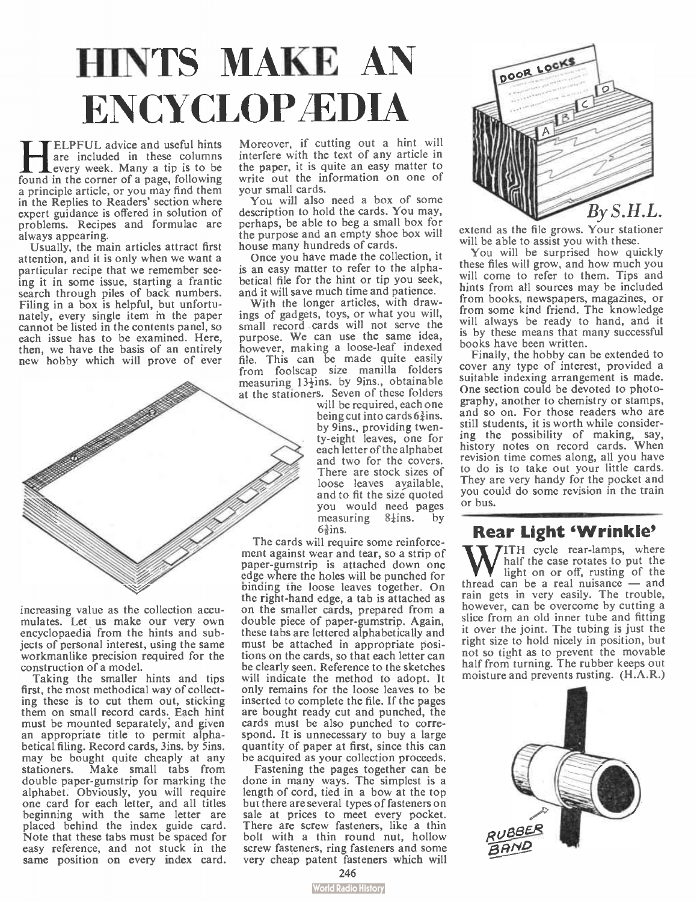# HINTS MAKE AN ENCYCLOP **EDIA**

**HELPFUL advice and useful hints**<br>are included in these columns<br>found in the corner of a page, following ELPFUL advice and useful hints are included in these columns every week. Many a tip is to be a principle article, or you may find them in the Replies to Readers' section where expert guidance is offered in solution of problems. Recipes and formulae are always appearing.

Usually, the main articles attract first attention, and it is only when we want a particular recipe that we remember seeing it in some issue, starting a frantic search through piles of back numbers. Filing in a box is helpful, but unfortunately, every single item in the paper cannot be listed in the contents panel, so each issue has to be examined. Here, then, we have the basis of an entirely new hobby which will prove of ever



increasing value as the collection accumulates. Let us make our very own encyclopaedia from the hints and subjects of personal interest, using the same workmanlike precision required for the construction of a model.

Taking the smaller hints and tips first, the most methodical way of collecting these is to cut them out, sticking them on small record cards. Each hint must be mounted separately; and given an appropriate title to permit alphabetical filing. Record cards, 3ins. by Sins. may be bought quite cheaply at any stationers. Make small tabs from double paper-gumstrip for marking the alphabet. Obviously, you will require one card for each letter, and all titles beginning with the same letter are placed behind the index guide card. Note that these tabs must be spaced for easy reference, and not stuck in the same position on every index card.

Moreover, if cutting out a hint will interfere with the text of any article in the paper, it is quite an easy matter to write out the information on one of your small cards.

You will also need a box of some description to hold the cards. You may, perhaps, be able to beg a small box for the purpose and an empty shoe box will house many hundreds of cards.

Once you have made the collection, it is an easy matter to refer to the alphabetical file for the hint or tip you seek, and it will save much time and patience.

With the longer articles, with drawings of gadgets, toys, or what you will, small record cards will not serve the purpose. We can use the same idea, however, making a loose-leaf indexed file. This can be made quite easily from foolscap size manilla folders measuring 13<sup>1</sup>/ins. by 9ins., obtainable at the stationers. Seven of these folders

will be required, each one being cut into cards  $6\frac{3}{4}$ ins. by 9ins., providing twen-ty-eight leaves, one for each letter of the alphabet and two for the covers. There are stock sizes of loose leaves ayailable, and to fit the size quoted you would need pages<br>measuring 8<sup>1</sup>ins. by  $measuring$   $8\frac{1}{2}$ ins.  $6\frac{3}{2}$ ins.

The cards will require some reinforcement against wear and tear, so a strip of paper-gumstrip is attached down one edge where the holes will be punched for binding the loose leaves together. On the right-hand edge, a tab is attached as on the smaller cards, prepared from a double piece of paper-gumstrip. Again, these tabs are lettered alphabetically and must be attached in appropriate positions on the cards, so that each letter can be clearly seen. Reference to the sketches will indicate the method to adopt. It only remains for the loose leaves to be inserted to complete the file. If the pages are bought ready cut and punched, the cards must be also punched to correspond. It is unnecessary to buy a large quantity of paper at first, since this can be acquired as your collection proceeds.

Fastening the pages together can be done in many ways. The simplest is a length of cord, tied in a bow at the top but there are several types of fasteners on sale at prices to meet every pocket. There are screw fasteners, like a thin bolt with a thin round nut, hollow screw fasteners, ring fasteners and some very cheap patent fasteners which will



extend as the file grows. Your stationer will be able to assist you with these.

You will be surprised how quickly these files will grow, and how much you will come to refer to them. Tips and hints from all sources may be included from books, newspapers, magazines, or from some kind friend. The knowledge will always be ready to hand, and it is by these means that many successful books have been written.

Finally, the hobby can be extended to cover any type of interest, provided a suitable indexing arrangement is made. One section could be devoted to photography, another to chemistry or stamps, and so on. For those readers who are still students, it is worth while considering the possibility of making, say, history notes on record cards. When revision time comes along, all you have to do is to take out your little cards. They are very handy for the pocket and you could do some revision in the train or bus.

### **Rear Light 'Wrinkle'**

W TH cycle rear-lamps, where<br>light on or off, rusting of the<br>thread can be a real nuisance — and **7**ITH cycle rear-lamps, where half the case rotates to put the light on or off, rusting of the rain gets in very easily. The trouble, however, can be overcome by cutting a slice from an old inner tube and fitting it over the joint. The tubing is just the right size to hold nicely in position, but not so tight as to prevent the movable half from turning. The rubber keeps out moisture and prevents rusting. (H.A.R.)

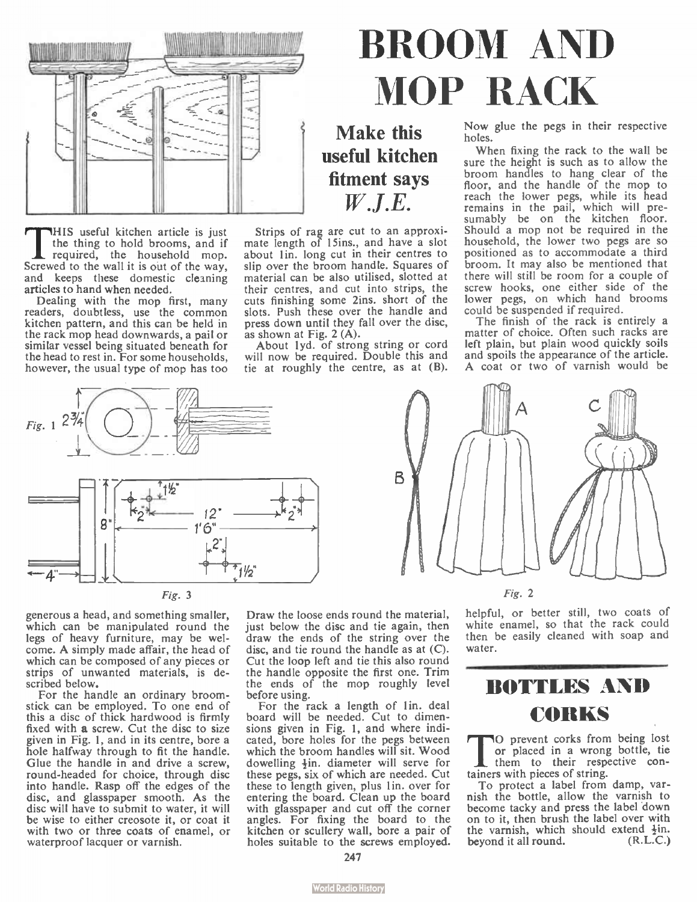

THIS useful kitchen article is just<br>the thing to hold brooms, and if<br>required, the household mop.<br>Screwed to the wall it is out of the way, HIS useful kitchen article is just the thing to hold brooms, and if required, the household mop. and keeps these domestic cleaning articles to hand when needed.

Dealing with the mop first, many readers, doubtless, use the common kitchen pattern, and this can be held in the rack mop head downwards, a pail or similar vessel being situated beneath for the head to rest in. For some households, however, the usual type of mop has too

### Strips of rag are cut to an approxi-mate length of I5ins., and have a slot about 1in. long cut in their centres to slip over the broom handle. Squares of material can be also utilised, slotted at their centres, and cut into strips, the cuts finishing some 2ins. short of the slots. Push these over the handle and press down until they fall over the disc,

Make this useful kitchen fitment says W.J.E.

as shown at Fig.  $2(A)$ . About 1yd. of strong string or cord will now be required. Double this and tie at roughly the centre, as at (B).



Now glue the pegs in their respective holes.

When fixing the rack to the wall be sure the height is such as to allow the broom handles to hang clear of the floor, and the handle of the mop to reach the lower pegs, while its head remains in the pail, which will presumably be on the kitchen floor. Should a mop not be required in the household, the lower two pegs are so positioned as to accommodate a third broom. It may also be mentioned that there will still be room for a couple of screw hooks, one either side of the lower pegs, on which hand brooms could be suspended if required.

The finish of the rack is entirely a matter of choice. Often such racks are left plain, but plain wood quickly soils and spoils the appearance of the article. A coat or two of varnish would be





generous a head, and something smaller, which can be manipulated round the legs of heavy furniture, may be welcome. A simply made affair, the head of which can be composed of any pieces or strips of unwanted materials, is described below.

For the handle an ordinary broomstick can be employed. To one end of this a disc of thick hardwood is firmly fixed with a screw. Cut the disc to size given in Fig. 1, and in its centre, bore a hole halfway through to fit the handle. Glue the handle in and drive a screw, round-headed for choice, through disc into handle. Rasp off the edges of the disc, and glasspaper smooth. As the disc will have to submit to water, it will be wise to either creosote it, or coat it with two or three coats of enamel, or waterproof lacquer or varnish.

Draw the loose ends round the material, just below the disc and tie again, then draw the ends of the string over the disc, and tie round the handle as at (C). Cut the loop left and tie this also round the handle opposite the first one. Trim the ends of the mop roughly level before using.

For the rack a length of lin. deal board will be needed. Cut to dimensions given in Fig. 1, and where indicated, bore holes for the pegs between which the broom handles will sit. Wood dowelling  $\frac{1}{2}$ in. diameter will serve for these pegs, six of which are needed. Cut these to length given, plus 1 in. over for entering the board. Clean up the board with glasspaper and cut off the corner angles. For fixing the board to the kitchen or scullery wall, bore a pair of holes suitable to the screws employed.

 $\Delta$ <sub>R</sub>

Fig. 2

helpful, or better still, two coats of white enamel, so that the rack could then be easily cleaned with soap and water.

### BOTTLES AND CORKS

The prevent corks from being lost<br>or placed in a wrong bottle, tie<br>them to their respective con-O prevent corks from being lost or placed in a wrong bottle, tie tainers with pieces of string.

To protect a label from damp, varnish the bottle, allow the varnish to become tacky and press the label down on to it, then brush the label over with the varnish, which should extend  $\frac{1}{2}$ in.<br>hevond it all round. (R.L.C.) beyond it all round.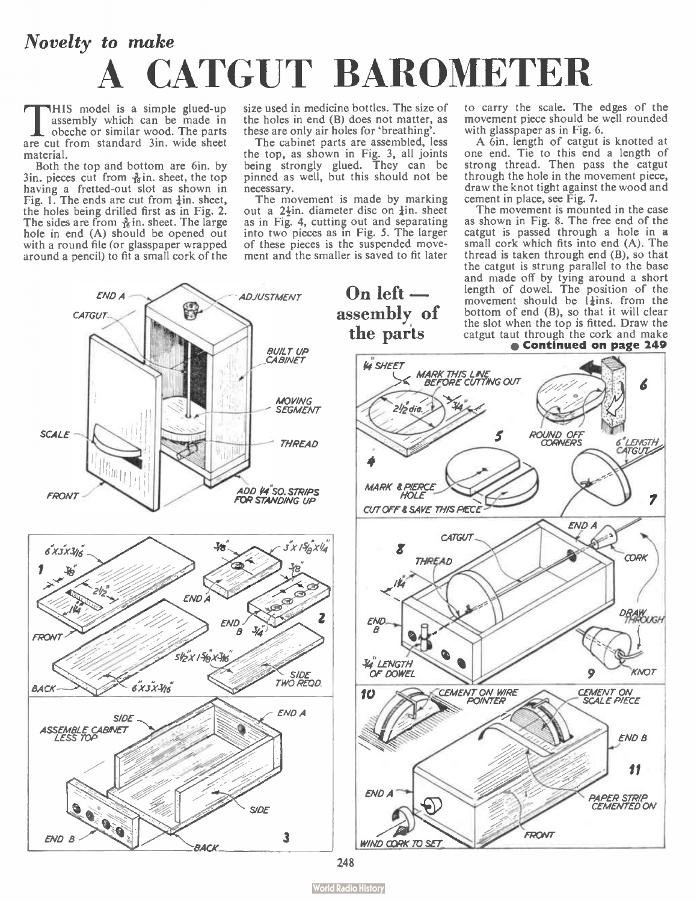# Novelty to make A CATGUT BAROMETER

This model is a simple glued-up<br>assembly which can be made in<br>obeche or similar wood. The parts<br>are cut from standard 3in, wide sheet HIS model is a simple glued-up<br>assembly which can be made in obeche or similar wood. The parts material.

Both the top and bottom are 6in. by  $3$ in. pieces cut from  $\frac{3}{16}$ in. sheet, the top having a fretted-out slot as shown in<br>Fig. 1. The ends are cut from  $\frac{1}{2}$ in. sheet, the holes being drilled first as in Fig. 2.<br>The sides are from  $\frac{3}{16}$  in. sheet. The large hole in end (A) should be opened out with a round file (or glasspaper wrapped around a pencil) to fit a small cork of the

size used in medicine bottles. The size of the holes in end  $(B)$  does not matter, as these are only air holes for 'breathing'.<br>The cabinet parts are assembled, less

The cabinet parts are assembled, less the top, as shown in Fig. 3, all joints being strongly glued. They can be pinned as well, but this should not be necessary.

The movement is made by marking out a 2<sup>1</sup>in. diameter disc on *in*, sheet as in Fig. 4, cutting out and separating into two pieces as in Fig. 5. The larger of these pieces is the suspended movement and the smaller is saved to fit later

to carry the scale. The edges of the movement piece should be well rounded with glasspaper as in Fig. 6.

A 6in. length of catgut is knotted at one end. Tie to this end a length of strong thread. Then pass the catgut through the hole in the movement piece, draw the knot tight against the wood and cement in place, see Fig. 7.

The movement is mounted in the case as shown in Fig. 8. The free end of the catgut is passed through a hole in a small cork which fits into end  $(A)$ . The thread is taken through end (B), so that the catgut is strung parallel to the base and made off by tying around a short<br>length of dowel. The position of the<br>movement should be  $1\frac{1}{2}$ ins. from the bottom of end (B), so that it will clear the slot when the top is fitted. Draw the catgut taut through the cork and make



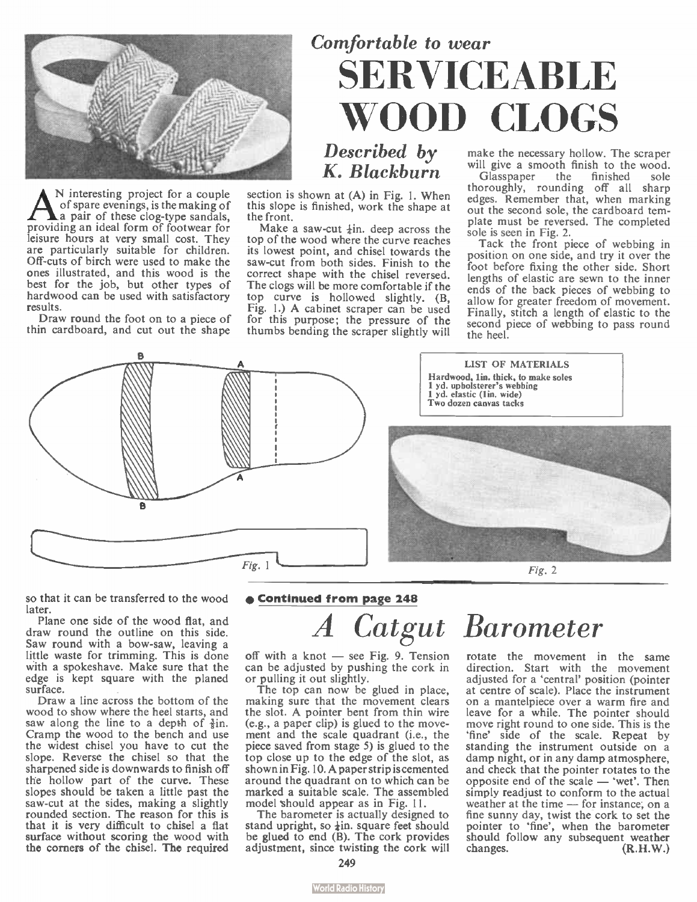

A <sup>N</sup> interesting project for a couple<br>a pair of these clongs, is the making of<br>providing an ideal form of footwear for N interesting project for a couple of spare evenings, is the making of a pair of these clog-type sandals, leisure hours at very small cost. They are particularly suitable for children. Off-cuts of birch were used to make the ones illustrated, and this wood is the best for the job, but other types of hardwood can be used with satisfactory results.

Draw round the foot on to a piece of thin cardboard, and cut out the shape

# Comfortable to wear SERVICEABLE WOOD CLOGS

Described by K. Blackburn

section is shown at (A) in Fig. I. When this slope is finished, work the shape at the front.

Make a saw-cut  $\pm$ in, deep across the top of the wood where the curve reaches its lowest point, and chisel towards the saw-cut from both sides. Finish to the correct shape with the chisel reversed. The clogs will be more comfortable if the top curve is hollowed slightly. (B, Fig. 1.) A cabinet scraper can be used for this purpose; the pressure of the thumbs bending the scraper slightly will

make the necessary hollow. The scraper will give a smooth finish to the wood.<br>Glasspaper the finished sole

Glasspaper thoroughly, rounding off all sharp edges. Remember that, when marking out the second sole, the cardboard tem-plate must be reversed. The completed sole is seen in Fig. 2.

Tack the front piece of webbing in position on one side, and try it over the foot before fixing the other side. Short lengths of elastic are sewn to the inner ends of the back pieces of webbing to allow for greater freedom of movement. Finally, stitch a length of elastic to the second piece of webbing to pass round the heel.



so that it can be transferred to the wood later.

Plane one side of the wood flat, and draw round the outline on this side. Saw round with a bow-saw, leaving a little waste for trimming. This is done with a spokeshave. Make sure that the edge is kept square with the planed surface.

Draw a line across the bottom of the wood to show where the heel starts, and saw along the line to a depth of  $\frac{3}{2}$ in. Cramp the wood to the bench and use the widest chisel you have to cut the slope. Reverse the chisel so that the sharpened side is downwards to finish off the hollow part of the curve. These slopes should be taken a little past the saw-cut at the sides, making a slightly rounded section. The reason for this is that it is very difficult to chisel a flat surface without scoring the wood with the corners of the chisel. The required

### • Continued from page 248

# A Catgut Barometer

off with a knot — see Fig. 9. Tension can be adjusted by pushing the cork in or pulling it out slightly.

The top can now be glued in place, making sure that the movement clears the slot. A pointer bent from thin wire (e.g., a paper clip) is glued to the movement and the scale quadrant (i.e., the piece saved from stage 5) is glued to the top close up to the edge of the slot, as shown in Fig. 10. A paper strip is cemented around the quadrant on to which can be marked a suitable scale. The assembled model should appear as in Fig. 11.

The barometer is actually designed to stand upright, so  $\frac{1}{2}$ in. square feet should be glued to end (B). The cork provides adjustment, since twisting the cork will

rotate the movement in the same direction. Start with the movement adjusted for a 'central' position (pointer at centre of scale). Place the instrument on a mantelpiece over a warm fire and leave for a while. The pointer should move right round to one side. This is the 'fine' side of the scale. Repeat by standing the instrument outside on a damp night, or in any damp atmosphere, and check that the pointer rotates to the opposite end of the scale — 'wet'. Then simply readjust to conform to the actual weather at the time — for instance; on a fine sunny day, twist the cork to set the pointer to 'fine', when the barometer should follow any subsequent weather changes. (R.H.W.)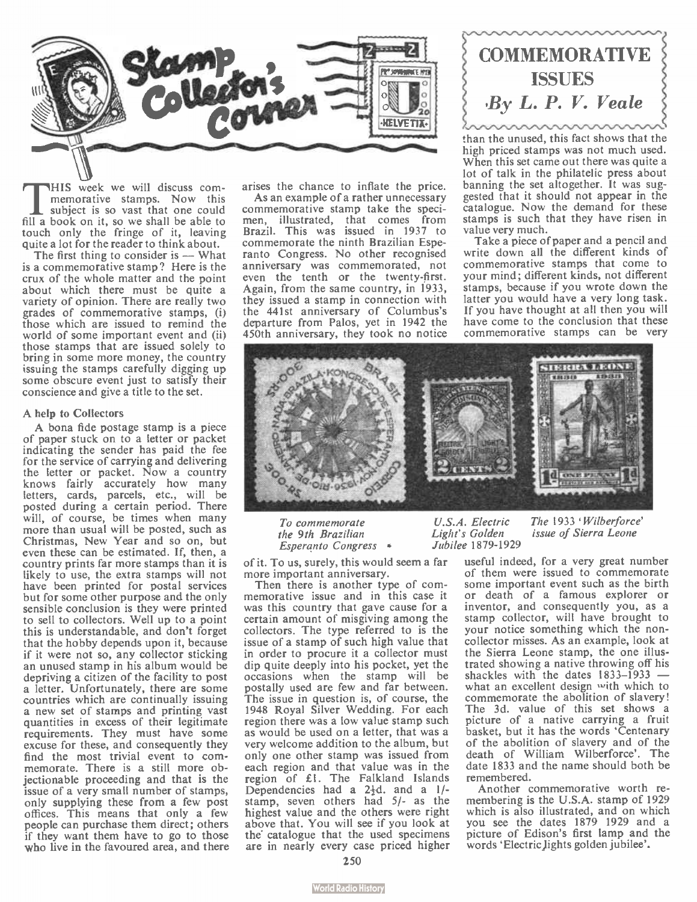

THIS week we will discuss com-<br>memorative stamps. Now this<br>subject is so vast that one could<br>fill a book on it, so we shall be able to HIS week we will discuss com-memorative stamps. Now this subject is so vast that one could touch only the fringe of it, leaving quite a lot for the reader to think about.

The first thing to consider is — What is a commemorative stamp? Here is the crux of the whole matter and the point about which there must be quite a variety of opinion. There are really two grades of commemorative stamps, (i) those which are issued to remind the world of some important event and (ii) those stamps that are issued solely to bring in some more money, the country issuing the stamps carefully digging up some obscure event just to satisfy their conscience and give a title to the set.

### A help to Collectors

A bona fide postage stamp is a piece of paper stuck on to a letter or packet indicating the sender has paid the fee for the service of carrying and delivering the letter or packet. Now a country knows fairly accurately how many letters, cards, parcels, etc., will be posted during a certain period. There will, of course, be times when many more than usual will be posted, such as Christmas, New Year and so on, but even these can be estimated. If, then, a country prints far more stamps than it is likely to use, the extra stamps will not have been printed for postal services but for some other purpose and the only sensible conclusion is they were printed to sell to collectors. Well up to a point this is understandable, and don't forget that the hobby depends upon it, because if it were not so, any collector sticking an unused stamp in his album would be depriving a citizen of the facility to post a letter. Unfortunately, there are some countries which are continually issuing a new set of stamps and printing vast quantities in excess of their legitimate requirements. They must have some excuse for these, and consequently they find the most trivial event to commemorate. There is a still more objectionable proceeding and that is the issue of a very small number of stamps, only supplying these from a few post offices. This means that only a few people can purchase them direct; others if they want them have to go to those who live in the favoured area, and there arises the chance to inflate the price.

As an example of a rather unnecessary commemorative stamp take the specimen, illustrated, that comes from Brazil. This was issued in 1937 to commemorate the ninth Brazilian Esperanto Congress. No other recognised anniversary was commemorated, not even the tenth or the twenty-first. Again, from the same country, in 1933, they issued a stamp in connection with the 441st anniversary of Columbus's departure from Palos, yet in 1942 the 450th anniversary, they took no notice



than the unused, this fact shows that the high priced stamps was not much used. When this set came out there was quite a lot of talk in the philatelic press about banning the set altogether. It was suggested that it should not appear in the catalogue. Now the demand for these stamps is such that they have risen in value very much.

Take a piece of paper and a pencil and write down all the different kinds of commemorative stamps that come to your mind; different kinds, not different stamps, because if you wrote down the latter you would have a very long task. If you have thought at all then you will have come to the conclusion that these commemorative stamps can be very



To commemorate the 9th Brazilian Esperanto Congress

of it. To us, surely, this would seem a far more important anniversary.

Then there is another type of commemorative issue and in this case it was this country that gave cause for a certain amount of misgiving among the collectors. The type referred to is the issue of a stamp of such high value that in order to procure it a collector must dip quite deeply into his pocket, yet the occasions when the stamp will be postally used are few and far between. The issue in question is, of course, the 1948 Royal Silver Wedding. For each region there was a low value stamp such as would be used on a letter, that was a very welcome addition to the album, but only one other stamp was issued from each region and that value was in the region of £1. The Falkland Islands Dependencies had a  $2\frac{1}{2}d$ . and a  $1/$ stamp, seven others had 5/- as the highest value and the others were right above that. You will see if you look at the catalogue that the used specimens are in nearly every case priced higher

U.S.A. Electric The 1933 'Wilberforce'<br>Light's Golden issue of Sierra Leone issue of Sierra Leone Jubilee 1879-1929

> useful indeed, for a very great number of them were issued to commemorate some important event such as the birth or death of a famous explorer or inventor, and consequently you, as a stamp collector, will have brought to your notice something which the noncollector misses. As an example, look at the Sierra Leone stamp, the one illustrated showing a native throwing off his shackles with the dates  $1833-1933$  – what an excellent design with which to commemorate the abolition of slavery! The 3d. value of this set shows a picture of a native carrying a fruit basket, but it has the words 'Centenary of the abolition of slavery and of the death of William Wilberforce'. The date 1833 and the name should both be remembered.

> Another commemorative worth remembering is the U.S.A. stamp of 1929 which is also illustrated, and on which you see the dates 1879 1929 and a picture of Edison's first lamp and the words 'Electric lights golden jubilee'.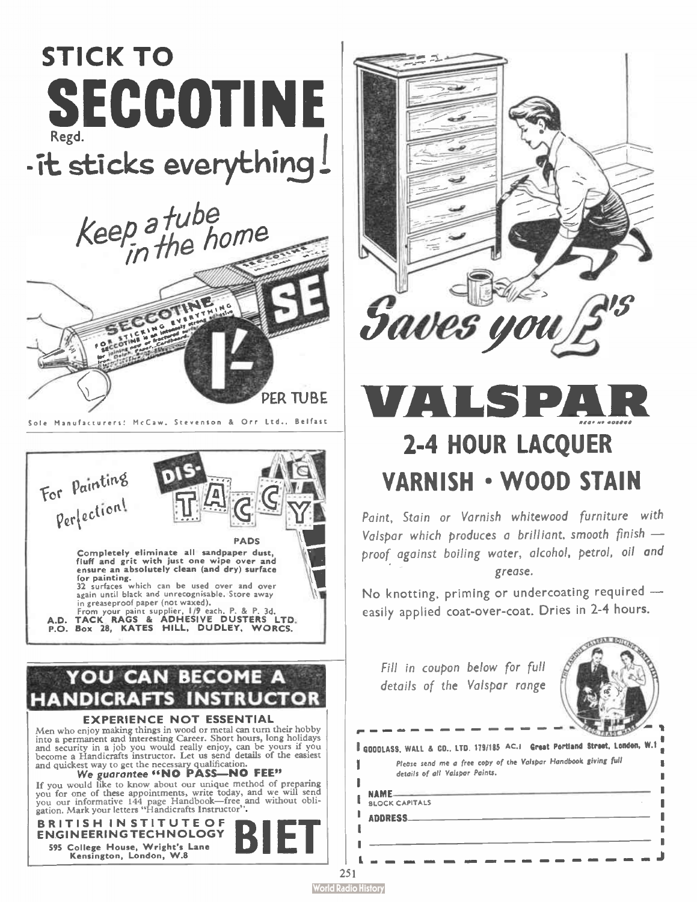



# LS PA 2-4 HOUR LACQUER VARNISH • WOOD STAIN

Paint, Stain or Varnish whitewood furniture with Valspar which produces a brilliant, smooth finish proof against boiling water, alcohol, petrol, oil and grease.

No knotting, priming or undercoating required easily applied coat-over-coat. Dries in 2-4 hours.

Fill in coupon below for full details of the Valspar range



\_\_\_\_\_\_**\_** 

GOODLASS, WALL & CO.. LTD. 179/185 AC.I Great Portland Street, London, W.1 NAME Please send me a free copy of the Valspar Handbook giving full details of all Volspor Paints.

BLOCK CAPITALS ADDRESS

 $\cdot$ 

ı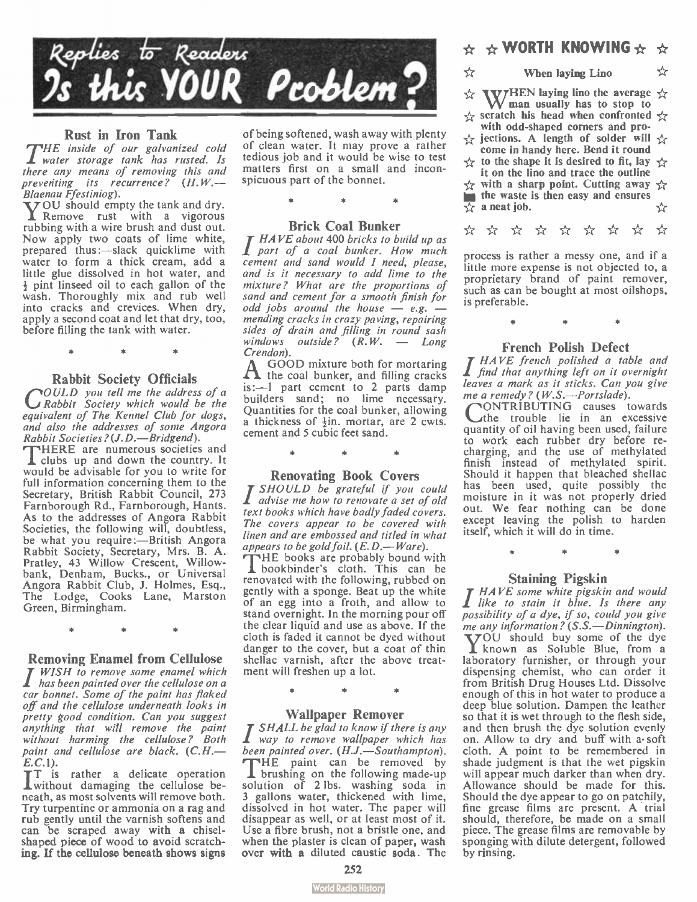

### Rust in Iron Tank

PrHE inside of our galvanized cold 1 water storage tank has rusted. Is there any means of removing this and preventing its recurrence?  $(H.W. \rightarrow Blaenau Ffestiniog)$ .

Blaenau Ffestiniog).<br>**Y**OU should empty the tank and dry.<br>**X** Remove rust with a vigorous rubbing with a wire brush and dust out. Now apply two coats of lime white, prepared thus :—slack quicklime with water to form a thick cream, add a little glue dissolved in hot water, and + pint linseed oil to each gallon of the wash. Thoroughly mix and rub well into cracks and crevices. When dry, apply a second coat and let that dry, too, before filling the tank with water.

## •

Rabbit Society Officials<br>**COULD** you tell me the address of a<br>**C** Rabbit Society which would be the equivalent of The Kennel Club for dogs, and also the addresses of some Angora<br>Rabbit Societies?(J.D.—Bridgend).

Rabbit Societies?(J.D.—Bridgend).<br>THERE are numerous societies and<br>Clubs up and down the country. It would be advisable for you to write for full information concerning them to the Secretary, British Rabbit Council, 273 Farnborough Rd., Farnborough, Hants. As to the addresses of Angora Rabbit Societies, the following will, doubtless, be what you require:—British Angora Rabbit Society, Secretary, Mrs. B. A. Pratley, 43 Willow Crescent, Willowbank, Denham, Bucks., or Universal Angora Rabbit Club, J. Holmes, Esq., The Lodge, Cooks Lane, Marston Green, Birmingham.

•

**Removing Enamel from Cellulose**<br>*I WISH to remove some enamel which*<br>*I has been painted over the cellulose on a* car bonnet. Some of the paint has flaked off and the cellulose underneath looks in pretty good condition. Can you suggest anything that will remove the paint without harming the cellulose? Both paint and cellulose are black.  $(C.H.$ —

E.C.1).<br>TT is rather a delicate operation<br>Twithout damaging the cellulose beneath, as most solvents will remove both. Try turpentine or ammonia on a rag and rub gently until the varnish softens and can be scraped away with a chiselshaped piece of wood to avoid scratching. If the cellulose beneath shows signs

of being softened, wash away with plenty of clean water. It may prove a rather tedious job and it would be wise to test matters first on a small and inconspicuous part of the bonnet.

### Brick Coal Bunker

T HAVE about 400 bricks to build up as **part of a coal bunker. How much** cement and sand would I need, please, and is it necessary to add lime to the mixture? What are the proportions of sand and cement for a smooth finish for odd jobs around the house  $-e.g.$   $$ mending cracks in crazy paving, repairing sides of drain and filling in round sash windows outside?  $(R.W. - Long)$ 

Crendon).<br>A GOOD mixture both for mortaring  $A$  the coal bunker, and filling cracks is:—1 part cement to 2 parts damp builders sand; no lime necessary. Quantities for the coal bunker, allowing a thickness of +in. mortar, are 2 cwts. cernent and 5 cubic feet sand.

**Renovating Book Covers**<br>**I** SHOULD be grateful if you could advise me how to renovate a set of old text books which have badly faded covers. The covers appear to be covered with linen and are embossed and titled in what appears to be gold foil.  $(E, D, -W$ are).

appears to be gold foil.  $(E.D. - Ware)$ .<br>The books are probably bound with<br>I bookbinder's cloth. This can be renovated with the following, rubbed on gently with a sponge. Beat up the white of an egg into a froth, and allow to stand overnight. In the morning pour off the clear liquid and use as above. If the cloth is faded it cannot be dyed without danger to the cover, but a coat of thin shellac varnish, after the above treatment will freshen up a lot.

•

**Wallpaper Remover**<br>In SHALL be glad to know if there is any way to remove wallpaper which has been painted over.  $(H.J.-Southampton)$ .<br>
THE paint can be removed by **L** brushing on the following made-up<br>solution of 2 lbs. washing soda in 3 gallons water, thickened with lime, dissolved in hot water. The paper will disappear as well, or at least most of it. Use a fibre brush, not a bristle one, and when the plaster is clean of paper, wash over with a diluted caustic soda. The

### $\star$  \* WORTH KNOWING  $\star$  \*

☆

When laying Lino ☆

- ☆ WHEN laying lino the average  $\gamma$ <br>man usually has to stop to
- $\leftrightarrow$  scratch his head when confronted  $\leftrightarrow$ with odd-shaped corners and pro-
- $\leftrightarrow$  jections. A length of solder will  $\leftrightarrow$ come in handy here. Bend it round
- $\forall$  to the shape it is desired to fit, lay  $\forall$ it on the lino and trace the outline<br> $\frac{1}{22}$  with a sharp point. Cutting away
- 
- **the waste is then easy and ensures**<br> $\frac{1}{22}$  a neat job.  $\overline{\Leftrightarrow}$  a neat job.
- \* \* \* \* \* \* \* \*

process is rather a messy one, and if a little more expense is not objected to, a proprietary brand of paint remover, such as can be bought at most oilshops, is preferable.

### à.

**FRENCH POISH DEFECT**<br>I HAVE french polished a table and<br>I find that anything left on it overnight leaves a mark as it sticks. Can you give me a remedy ? ( W.S.—Portslade).

nONTRIBUTING causes towards the trouble lie in an excessive quantity of oil having been used, failure to work each rubber dry before re-charging, and the use of methylated finish instead of methylated spirit. Should it happen that bleached shellac has been used, quite possibly the moisture in it was not properly dried out. We fear nothing can be done except leaving the polish to harden itself, which it will do in time.

**Staining Pigskin**<br>*HAVE some white pigskin and would* I like to stain it blue. Is there any possibility of a dye, if so, could you give<br>me any information? (S.S.—Dinnington). me any information? (S.S.—Dinnington).<br>
YOU should buy some of the dye<br>
I known as Soluble Blue, from a laboratory furnisher, or through your dispensing chemist, who can order it from British Drug Houses Ltd. Dissolve enough of this in hot water to produce a deep blue solution. Dampen the leather so that it is wet through to the flesh side, and then brush the dye solution evenly on. Allow to dry and buff with a soft cloth. A point to be remembered in shade judgment is that the wet pigskin will appear much darker than when dry. Allowance should be made for this. Should the dye appear to go on patchily, fine grease films are present. A trial should, therefore, be made on a small piece. The grease films are removable by sponging with dilute detergent, followed by rinsing.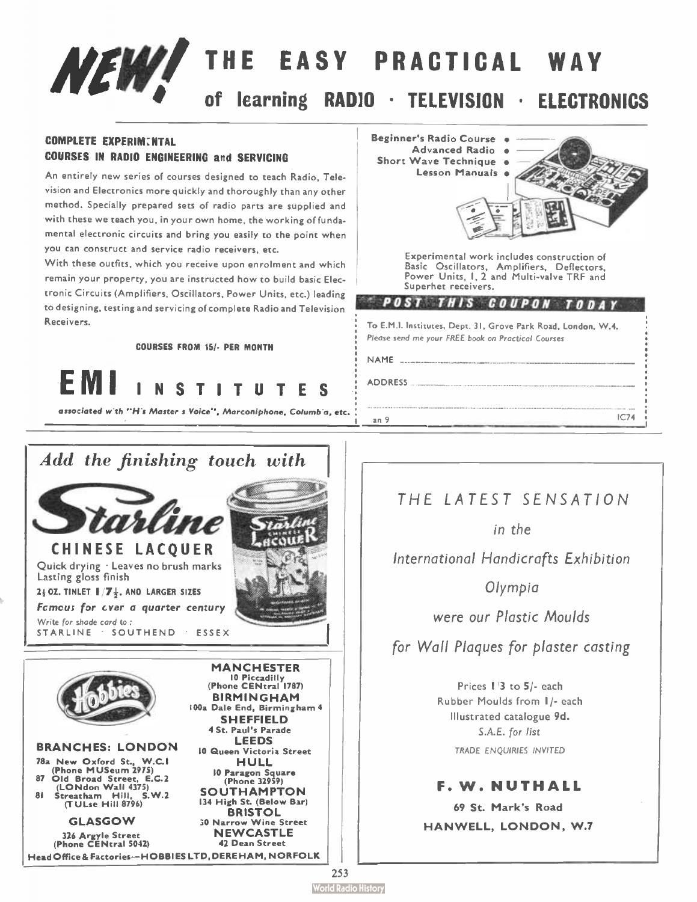# NEW! THE EASY PRACTICAL WAY learning RADIO · TELEVISION · ELECTRONICS

### COMPLETE EXPERIM:NTAL COURSES IN RADIO ENGINEERING and SERVICING

An entirely new series of courses designed to teach Radio, Television and Electronics more quickly and thoroughly than any other method. Specially prepared sets of radio parts are supplied and with these we teach you, in your own home, the working of fundamental electronic circuits and bring you easily to the point when you can construct and service radio receivers, etc.

With these outfits, which you receive upon enrolment and which remain your property, you are instructed how to build basic Electronic Circuits ( Amplifiers, Oscillators, Power Units, etc.) leading to designing, testing and servicing of complete Radio and Television Receivers.

COURSES FROM 15/- PER MONTH



associated with "His Master s Voice", Marconiphone, Columbia, etc.



78a New Oxford St., W.C.1 Phone MUSeum 2975) 87 Old Broad Street, E.C.2 (LONdon Wall 4375) 81 Streatham Hill, S.W.2 (TULse Hill 8796)

> GLASGOW 326 Argyle Street (Phone CENtral 5042)

HULL 10 Paragon Square (Phone 32959) SOUTHAMPTON 134 High St. (Below Bar) **BRISTOL** 30 Narrow Wine Street NEWCASTLE 42 Dean Street HeadOffice& Factories — HOBBIES LTD, DERE HAM, NORFOLK

Lesson Manuals · Experimental work includes construction of Basic Oscillators, Amplifiers, Deflectors, Power Units, I, 2 and Multi-valve TRF and Superhet receivers.

### " POST THIS COUPON TODAY

To E.M.I. Institutes, Dept. 31, Grove Park Road, London, W.4. Please send me your FREE book on Practical Courses

I an 9 IC74.

NAME

Beginner's Radio Course • Advanced Radio • Short Wave Technique

ADDRESS

THE LA TEST SENSATION

in the

International Handicrafts Exhibition

Olympia

were our Plastic Moulds

for Wall Plaques for plaster casting

Prices 1/3 to 5/- each Rubber Moulds from 1/- each Illustrated catalogue 9d. S.A.E. for list TRADE ENQUIRIES INVITED

F. W. NUTHALL 69 St. Mark's Road HANWELL, LONDON, W.7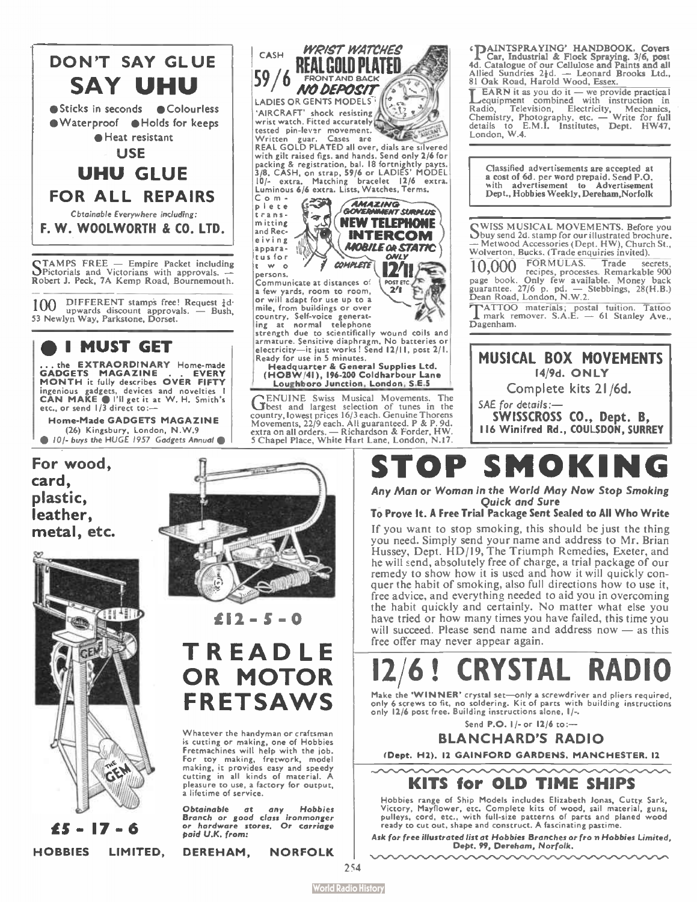

STAMPS FREE — Empire Packet including Pictorials and Victorians with approvals. — Robert J. Peck, 7A Kemp Road, Bournemouth.

 $100$  DIFFERENT stamps free! Request  $\frac{1}{4}$ d. upwards discount approvals. — Bush, 53 Newlyn Way, Parkstone, Dorset.

### **I MUST GET**

... the EXTRAORDINARY Home-made<br>GADGETS MAGAZINE . . EVERY GADGETS MAGAZINE . . EVERY MONTH it fully describes OVER FIFTY ingenious gadgets, devices and novelties I |<br>CAN MAKE • I'll get it at W. H. Smith's<br>etc., or send 1/3 direct to:—

Home-Made GADGETS MAGAZINE (26) Kingsbury, London, N.VV.9 • 10 /- buys the HUGE 1957 Gadgets Annual e

For wood, card, plastic, leather, metal, etc.





C o m pie te transmitting and Receiving ap pare tus for

persons.

 $\sim$   $\sim$   $\sim$   $\sim$   $\sim$   $\sim$   $\sim$   $\sim$ 

 $639$  $\overline{\mathcal{L}}$ 

Communicate at distances of a few yards, room to room, or will adapt for use up to a

**CASH** WRIST WATCHES FRONT AND BACK  $59/6$  FRONT AND BACK LADIES OR GENTS MODELS 'AIRCRAFT' shock resisting wrist watch. Fitted accurately

Exerce pin-lever movement.<br>
Written guar, Cases are<br>
REAL GOLD PLATED all over, dials are silvered<br>
with gilt raised figs, and hands. Send only 2/6 for<br>
packing & registration, bal. 18 fortnightly payes.<br>
3/8. CASH, on str

I0/- extra. Matching bracelet 12/6 extra. Luminous 6/6 extra. Lists, Watches, Terms.

**AMAZING**<br>GOVERNMENT SURMUS NEW TELEPHONE INTERCOM **MOBILE OR STATIC** ONLY 12/ <sup>11</sup> POST ETC.

mile, from buildings or over<br>country, Self-voice generat-<br>ing at normal telephone<br>strength due to scientifically wound coils and armature. Sensitive diaphragm. No batteries or electricity—it just works! Send 12/11, post 2/1.<br>electricity—it just works! Send 12/11, post 2/1. Ready for use in 5 minutes. Headquarter & General Supplies Ltd. (HOBW/41), 196-200 Coldharbour Lane Loughboro Junction, London, S.E.5

GENUINE Swiss Musical Movements. The best and largest selection of tunes in the country, lowest prices 16/3 each. Genuine Thorens Movements, 22/9 each. All guaranteed. P & P. 9d. extra on all orders. — Richardson & Forder, HW. 5 Chapel Place, White Hart Lane, London, N.17.

 $£12 - 5 = 0$ 

### TREADLE OR MOTOR FRETSAWS

Whatever the handyman or craftsman is cutting or making, one of Hobbies Fretmachines will help with the job. For toy making, fretwork, model making, it provides easy and speedy cutting in all kinds of material. A pleasure to use, a factory for output, a lifetime of service.

Obtainable at any Hobbies Branch or good class ironmonger or hardware stores. Or carriage paid U.K. from:

**ADAINTSPRAYING' HANDBOOK. Covers<br>A Car, Industrial & Flock Spraying. 3/6, post**<br>4d. Catalogue of our Cellulose and Paints and all<br>Allied Sundries 2 $\frac{1}{2}d$ . — Leonard Brooks Ltd.,<br>81 Oak Road, Harold Wood, Essex.

**LEARN** it as you do it — we provide practical equipment combined with instruction in Natuo, Television, Electricity, Mechanics,<br>Chemistry, Photography, etc. — Write for full<br>details to E.M.I. Institutes, Dept. HW47, London, W.4

Classified advertisements are accepted at a cost of 6d. per word prepaid. Send P.O. with advertisement to Advertisement<br>Dept., Hobbies Weekly, Dereham, Norfolk

SWISS MUSICAL MOVEMENTS. Before you buy send 2d. stamp for our illustrated brochure. — Metwood Accessories ( Dept. HW), Church St.,

Wolverton, Bucks. (Trade enquiries invited).<br>10,000 FORMULAS. Trade se 10,000 FORMULAS. Irade secrets, processes. Remarkable 900<br>page book. Only few available. Money back<br>guarantee. 27/6 p. pd. — Stebbings, 28(H.B.)<br>Dean Road, London, N.W.2.

T ATTO() materials; postal tuition. Tattoo mark remover. S.A.E. — 61 Stanley Ave., Dagenham.



## OP SMOKIN

Any Man or Woman in the World May Now Stop Smoking Quick and Sure

### To Prove It. A Free Trial Package Sent Sealed to All Who Write

If you want to stop smoking, this should be just the thing you need. Simply send your name and address to Mr. Brian Hussey, Dept. HD/19, The Triumph Remedies, Exeter, and he will send, absolutely free of charge, a trial package of our remedy to show how it is used and how it will quickly conquer the habit of smoking, also full directions how to use it, free advice, and everything needed to aid you in overcoming the habit quickly and certainly. No matter what else you have tried or how many times you have failed, this time you will succeed. Please send name and address now — as this free offer may never appear again.

# **6! CRYSTAL**

Make the 'WINNER' crystal set—only a screwdriver and pliers required, only 6 screws to fit, no soldering. Kit of parts with building instructions<br>only 12/6 post free. Building instructions alone, 1/-.

Send P.O. 1/- or 12/6 to:—

BLANCHARD'S RADIO

(Dept. H2). 12 GAINFORD GARDENS, MANCHESTER, 12

### KITS for OLD TIME SHIPS

Hobbies range of Ship Models includes Elizabeth Jonas, Cutty. Sark, Victory, Mayflower, etc. Complete kits of wood, sail material, guns, pulleys, cord, etc., with full-size patterns of parts and planed wood ready to cut out, shape and construct. A fascinating pastime.

Ask for free illustrated list at Hobbies Branches or fro n Hobbies Limited, Dept. 99, Dereham, Norfolk.



HOBBIES LIMITED, DEREHAM, NORFOLK

254

**World Radio History**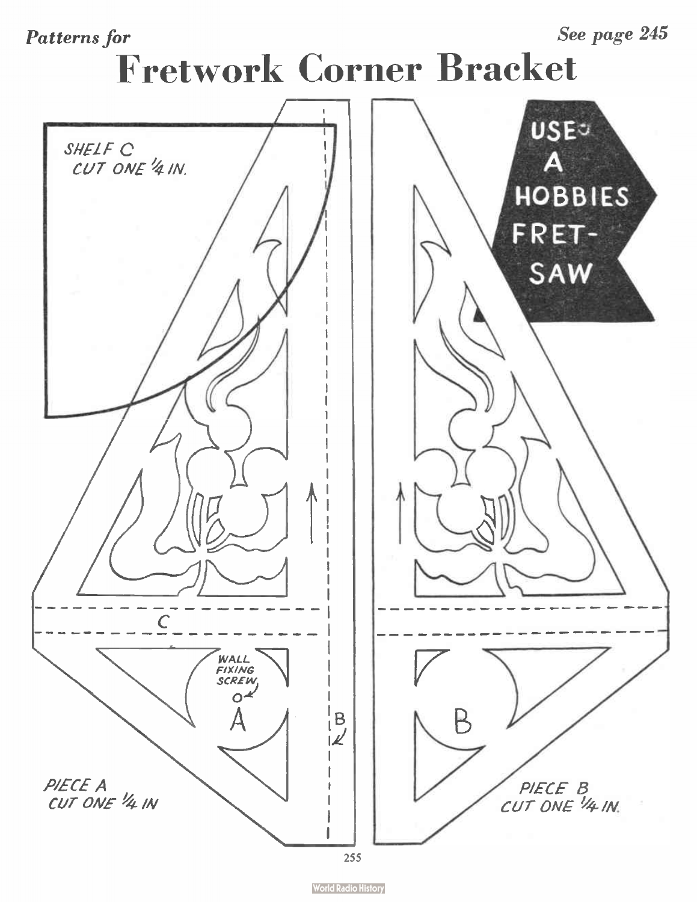## Patterns for See page 245 Fretwork Corner Bracket